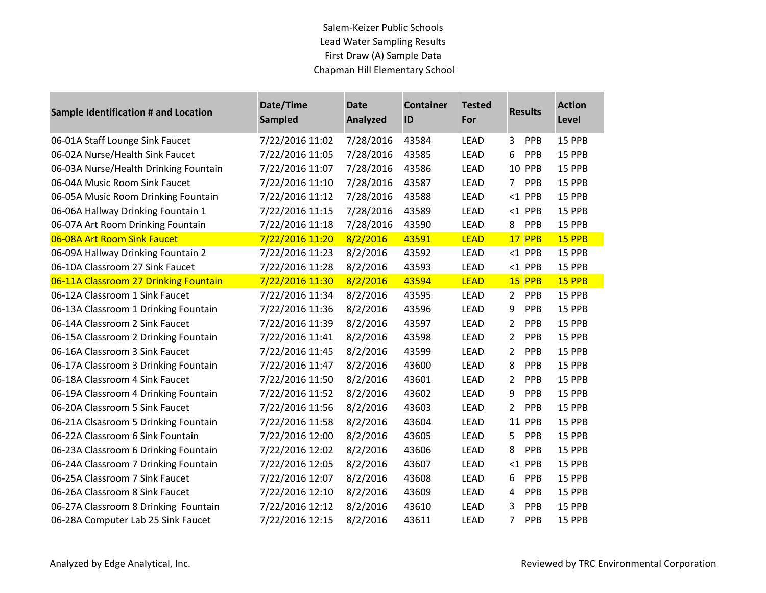| Sample Identification # and Location  | Date/Time<br><b>Sampled</b> | <b>Date</b><br><b>Analyzed</b> | <b>Container</b><br>ID | <b>Tested</b><br>For | <b>Results</b>               | <b>Action</b><br>Level |
|---------------------------------------|-----------------------------|--------------------------------|------------------------|----------------------|------------------------------|------------------------|
| 06-01A Staff Lounge Sink Faucet       | 7/22/2016 11:02             | 7/28/2016                      | 43584                  | <b>LEAD</b>          | PPB<br>3                     | 15 PPB                 |
| 06-02A Nurse/Health Sink Faucet       | 7/22/2016 11:05             | 7/28/2016                      | 43585                  | <b>LEAD</b>          | 6<br>PPB                     | 15 PPB                 |
| 06-03A Nurse/Health Drinking Fountain | 7/22/2016 11:07             | 7/28/2016                      | 43586                  | LEAD                 | 10 PPB                       | 15 PPB                 |
| 06-04A Music Room Sink Faucet         | 7/22/2016 11:10             | 7/28/2016                      | 43587                  | LEAD                 | $\overline{7}$<br><b>PPB</b> | 15 PPB                 |
| 06-05A Music Room Drinking Fountain   | 7/22/2016 11:12             | 7/28/2016                      | 43588                  | <b>LEAD</b>          | $<$ 1 PPB                    | 15 PPB                 |
| 06-06A Hallway Drinking Fountain 1    | 7/22/2016 11:15             | 7/28/2016                      | 43589                  | LEAD                 | $<$ 1 PPB                    | 15 PPB                 |
| 06-07A Art Room Drinking Fountain     | 7/22/2016 11:18             | 7/28/2016                      | 43590                  | LEAD                 | 8<br>PPB                     | 15 PPB                 |
| 06-08A Art Room Sink Faucet           | 7/22/2016 11:20             | 8/2/2016                       | 43591                  | <b>LEAD</b>          | 17 PPB                       | 15 PPB                 |
| 06-09A Hallway Drinking Fountain 2    | 7/22/2016 11:23             | 8/2/2016                       | 43592                  | LEAD                 | $<$ 1 PPB                    | 15 PPB                 |
| 06-10A Classroom 27 Sink Faucet       | 7/22/2016 11:28             | 8/2/2016                       | 43593                  | LEAD                 | $<$ 1 PPB                    | 15 PPB                 |
| 06-11A Classroom 27 Drinking Fountain | 7/22/2016 11:30             | 8/2/2016                       | 43594                  | <b>LEAD</b>          | 15 PPB                       | 15 PPB                 |
| 06-12A Classroom 1 Sink Faucet        | 7/22/2016 11:34             | 8/2/2016                       | 43595                  | <b>LEAD</b>          | $\overline{2}$<br>PPB        | 15 PPB                 |
| 06-13A Classroom 1 Drinking Fountain  | 7/22/2016 11:36             | 8/2/2016                       | 43596                  | <b>LEAD</b>          | 9<br>PPB                     | 15 PPB                 |
| 06-14A Classroom 2 Sink Faucet        | 7/22/2016 11:39             | 8/2/2016                       | 43597                  | LEAD                 | 2<br>PPB                     | 15 PPB                 |
| 06-15A Classroom 2 Drinking Fountain  | 7/22/2016 11:41             | 8/2/2016                       | 43598                  | <b>LEAD</b>          | PPB<br>2                     | 15 PPB                 |
| 06-16A Classroom 3 Sink Faucet        | 7/22/2016 11:45             | 8/2/2016                       | 43599                  | <b>LEAD</b>          | 2<br>PPB                     | 15 PPB                 |
| 06-17A Classroom 3 Drinking Fountain  | 7/22/2016 11:47             | 8/2/2016                       | 43600                  | <b>LEAD</b>          | 8<br>PPB                     | 15 PPB                 |
| 06-18A Classroom 4 Sink Faucet        | 7/22/2016 11:50             | 8/2/2016                       | 43601                  | <b>LEAD</b>          | PPB<br>2                     | 15 PPB                 |
| 06-19A Classroom 4 Drinking Fountain  | 7/22/2016 11:52             | 8/2/2016                       | 43602                  | LEAD                 | 9<br>PPB                     | 15 PPB                 |
| 06-20A Classroom 5 Sink Faucet        | 7/22/2016 11:56             | 8/2/2016                       | 43603                  | LEAD                 | 2<br>PPB                     | 15 PPB                 |
| 06-21A Clsasroom 5 Drinking Fountain  | 7/22/2016 11:58             | 8/2/2016                       | 43604                  | <b>LEAD</b>          | <b>11 PPB</b>                | 15 PPB                 |
| 06-22A Classroom 6 Sink Fountain      | 7/22/2016 12:00             | 8/2/2016                       | 43605                  | LEAD                 | PPB<br>5.                    | 15 PPB                 |
| 06-23A Classroom 6 Drinking Fountain  | 7/22/2016 12:02             | 8/2/2016                       | 43606                  | <b>LEAD</b>          | 8<br>PPB                     | 15 PPB                 |
| 06-24A Classroom 7 Drinking Fountain  | 7/22/2016 12:05             | 8/2/2016                       | 43607                  | <b>LEAD</b>          | $<$ 1 PPB                    | 15 PPB                 |
| 06-25A Classroom 7 Sink Faucet        | 7/22/2016 12:07             | 8/2/2016                       | 43608                  | <b>LEAD</b>          | PPB<br>6                     | 15 PPB                 |
| 06-26A Classroom 8 Sink Faucet        | 7/22/2016 12:10             | 8/2/2016                       | 43609                  | LEAD                 | PPB<br>4                     | 15 PPB                 |
| 06-27A Classroom 8 Drinking Fountain  | 7/22/2016 12:12             | 8/2/2016                       | 43610                  | LEAD                 | 3<br>PPB                     | 15 PPB                 |
| 06-28A Computer Lab 25 Sink Faucet    | 7/22/2016 12:15             | 8/2/2016                       | 43611                  | <b>LEAD</b>          | $\overline{7}$<br><b>PPB</b> | 15 PPB                 |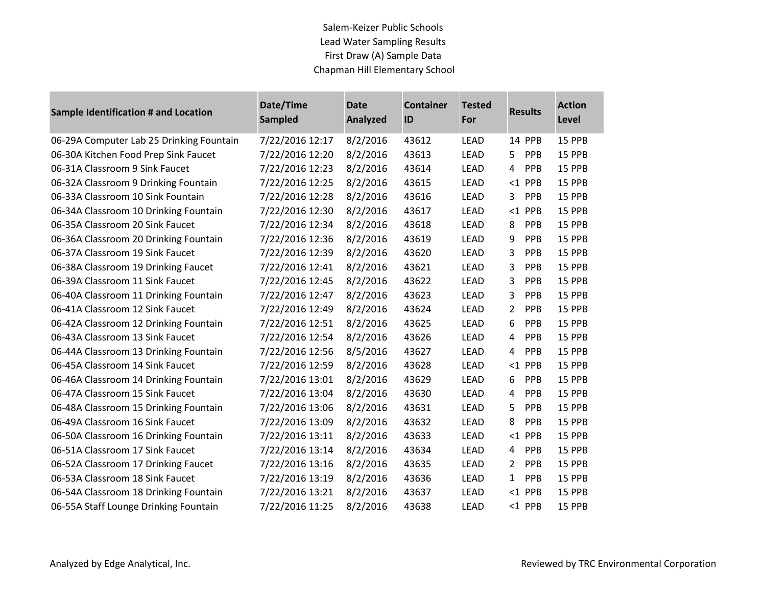| <b>Sample Identification # and Location</b> | Date/Time<br><b>Sampled</b> | <b>Date</b><br><b>Analyzed</b> | <b>Container</b><br>ID | <b>Tested</b><br>For | <b>Results</b>               | <b>Action</b><br>Level |
|---------------------------------------------|-----------------------------|--------------------------------|------------------------|----------------------|------------------------------|------------------------|
| 06-29A Computer Lab 25 Drinking Fountain    | 7/22/2016 12:17             | 8/2/2016                       | 43612                  | <b>LEAD</b>          | 14 PPB                       | 15 PPB                 |
| 06-30A Kitchen Food Prep Sink Faucet        | 7/22/2016 12:20             | 8/2/2016                       | 43613                  | <b>LEAD</b>          | 5.<br>PPB                    | 15 PPB                 |
| 06-31A Classroom 9 Sink Faucet              | 7/22/2016 12:23             | 8/2/2016                       | 43614                  | <b>LEAD</b>          | 4<br><b>PPB</b>              | 15 PPB                 |
| 06-32A Classroom 9 Drinking Fountain        | 7/22/2016 12:25             | 8/2/2016                       | 43615                  | <b>LEAD</b>          | $<$ 1 PPB                    | 15 PPB                 |
| 06-33A Classroom 10 Sink Fountain           | 7/22/2016 12:28             | 8/2/2016                       | 43616                  | <b>LEAD</b>          | PPB<br>3                     | 15 PPB                 |
| 06-34A Classroom 10 Drinking Fountain       | 7/22/2016 12:30             | 8/2/2016                       | 43617                  | LEAD                 | $<$ 1 PPB                    | <b>15 PPB</b>          |
| 06-35A Classroom 20 Sink Faucet             | 7/22/2016 12:34             | 8/2/2016                       | 43618                  | <b>LEAD</b>          | PPB<br>8                     | 15 PPB                 |
| 06-36A Classroom 20 Drinking Fountain       | 7/22/2016 12:36             | 8/2/2016                       | 43619                  | <b>LEAD</b>          | 9<br><b>PPB</b>              | <b>15 PPB</b>          |
| 06-37A Classroom 19 Sink Faucet             | 7/22/2016 12:39             | 8/2/2016                       | 43620                  | <b>LEAD</b>          | 3<br><b>PPB</b>              | 15 PPB                 |
| 06-38A Classroom 19 Drinking Faucet         | 7/22/2016 12:41             | 8/2/2016                       | 43621                  | LEAD                 | 3<br>PPB                     | 15 PPB                 |
| 06-39A Classroom 11 Sink Faucet             | 7/22/2016 12:45             | 8/2/2016                       | 43622                  | LEAD                 | 3<br><b>PPB</b>              | 15 PPB                 |
| 06-40A Classroom 11 Drinking Fountain       | 7/22/2016 12:47             | 8/2/2016                       | 43623                  | <b>LEAD</b>          | 3<br><b>PPB</b>              | 15 PPB                 |
| 06-41A Classroom 12 Sink Faucet             | 7/22/2016 12:49             | 8/2/2016                       | 43624                  | <b>LEAD</b>          | 2<br>PPB                     | 15 PPB                 |
| 06-42A Classroom 12 Drinking Fountain       | 7/22/2016 12:51             | 8/2/2016                       | 43625                  | LEAD                 | 6<br><b>PPB</b>              | <b>15 PPB</b>          |
| 06-43A Classroom 13 Sink Faucet             | 7/22/2016 12:54             | 8/2/2016                       | 43626                  | <b>LEAD</b>          | 4<br><b>PPB</b>              | 15 PPB                 |
| 06-44A Classroom 13 Drinking Fountain       | 7/22/2016 12:56             | 8/5/2016                       | 43627                  | <b>LEAD</b>          | 4<br>PPB                     | 15 PPB                 |
| 06-45A Classroom 14 Sink Faucet             | 7/22/2016 12:59             | 8/2/2016                       | 43628                  | <b>LEAD</b>          | $<$ 1 PPB                    | 15 PPB                 |
| 06-46A Classroom 14 Drinking Fountain       | 7/22/2016 13:01             | 8/2/2016                       | 43629                  | LEAD                 | 6<br><b>PPB</b>              | 15 PPB                 |
| 06-47A Classroom 15 Sink Faucet             | 7/22/2016 13:04             | 8/2/2016                       | 43630                  | LEAD                 | PPB<br>4                     | 15 PPB                 |
| 06-48A Classroom 15 Drinking Fountain       | 7/22/2016 13:06             | 8/2/2016                       | 43631                  | <b>LEAD</b>          | 5<br><b>PPB</b>              | 15 PPB                 |
| 06-49A Classroom 16 Sink Faucet             | 7/22/2016 13:09             | 8/2/2016                       | 43632                  | LEAD                 | 8<br><b>PPB</b>              | 15 PPB                 |
| 06-50A Classroom 16 Drinking Fountain       | 7/22/2016 13:11             | 8/2/2016                       | 43633                  | LEAD                 | $<$ 1 PPB                    | 15 PPB                 |
| 06-51A Classroom 17 Sink Faucet             | 7/22/2016 13:14             | 8/2/2016                       | 43634                  | LEAD                 | PPB<br>4                     | 15 PPB                 |
| 06-52A Classroom 17 Drinking Faucet         | 7/22/2016 13:16             | 8/2/2016                       | 43635                  | <b>LEAD</b>          | $\overline{2}$<br><b>PPB</b> | 15 PPB                 |
| 06-53A Classroom 18 Sink Faucet             | 7/22/2016 13:19             | 8/2/2016                       | 43636                  | <b>LEAD</b>          | PPB<br>$\mathbf{1}$          | 15 PPB                 |
| 06-54A Classroom 18 Drinking Fountain       | 7/22/2016 13:21             | 8/2/2016                       | 43637                  | LEAD                 | $<$ 1 PPB                    | 15 PPB                 |
| 06-55A Staff Lounge Drinking Fountain       | 7/22/2016 11:25             | 8/2/2016                       | 43638                  | LEAD                 | <1 PPB                       | 15 PPB                 |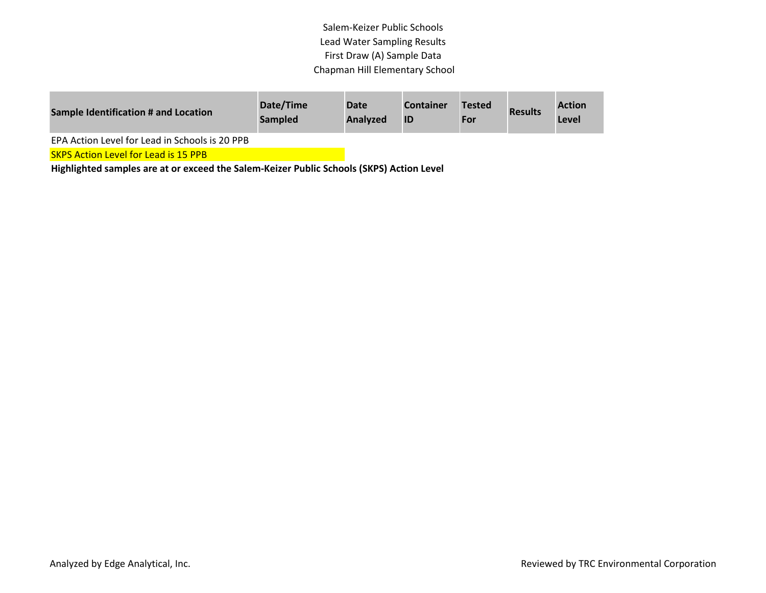| Sample Identification # and Location           | Date/Time<br><b>Sampled</b> | Date<br><b>Analyzed</b> | <b>Container</b> | <b>Tested</b><br>For | <b>Results</b> | <b>Action</b><br>Level |
|------------------------------------------------|-----------------------------|-------------------------|------------------|----------------------|----------------|------------------------|
| EPA Action Level for Lead in Schools is 20 PPB |                             |                         |                  |                      |                |                        |

**SKPS Action Level for Lead is 15 PPB**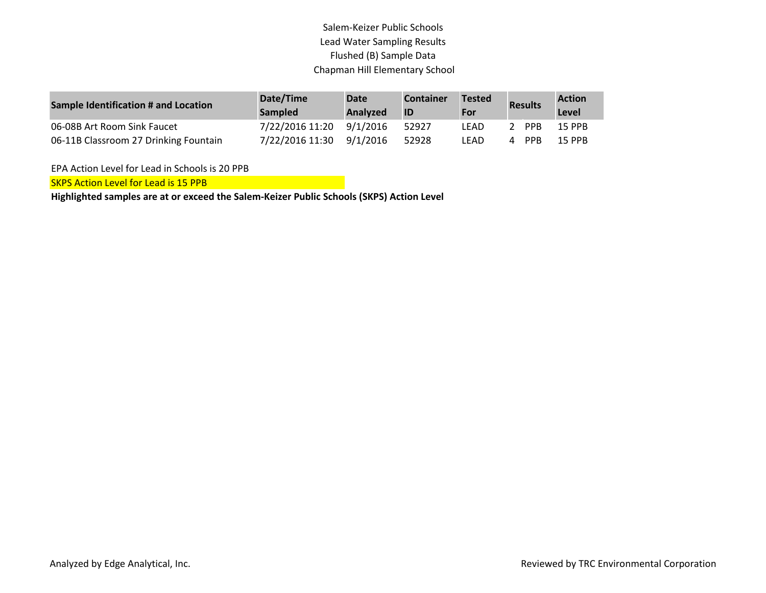| Sample Identification # and Location  | Date/Time<br><b>Sampled</b> | Date<br><b>Analyzed</b> | <b>Container</b><br>IID | <b>Tested</b><br>For |   | <b>Results</b> | <b>Action</b><br>Level |
|---------------------------------------|-----------------------------|-------------------------|-------------------------|----------------------|---|----------------|------------------------|
| 06-08B Art Room Sink Faucet           | 7/22/2016 11:20             | 9/1/2016                | 52927                   | LEAD                 |   | <b>PPR</b>     | <b>15 PPB</b>          |
| 06-11B Classroom 27 Drinking Fountain | 7/22/2016 11:30             | 9/1/2016                | 52928                   | LEAD                 | 4 | <b>PPB</b>     | <b>15 PPB</b>          |

EPA Action Level for Lead in Schools is 20 PPB

SKPS Action Level for Lead is 15 PPB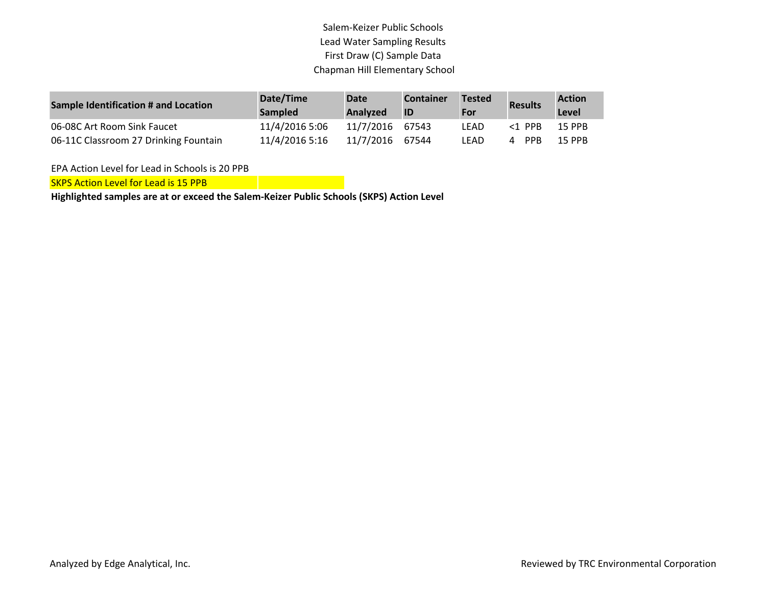| <b>Sample Identification # and Location</b> | Date/Time<br><b>Sampled</b> | <b>Date</b><br><b>Analyzed</b> | <b>Container</b><br><b>ID</b> | Tested<br>For | <b>Results</b> | <b>Action</b><br>Level |
|---------------------------------------------|-----------------------------|--------------------------------|-------------------------------|---------------|----------------|------------------------|
| 06-08C Art Room Sink Faucet                 | 11/4/2016 5:06              | 11/7/2016                      | 67543                         | LEAD          | $<$ 1 PPR      | <b>15 PPB</b>          |
| 06-11C Classroom 27 Drinking Fountain       | 11/4/2016 5:16              | 11/7/2016                      | 67544                         | LEAD          | <b>PPB</b>     | <b>15 PPB</b>          |

EPA Action Level for Lead in Schools is 20 PPB

SKPS Action Level for Lead is 15 PPB